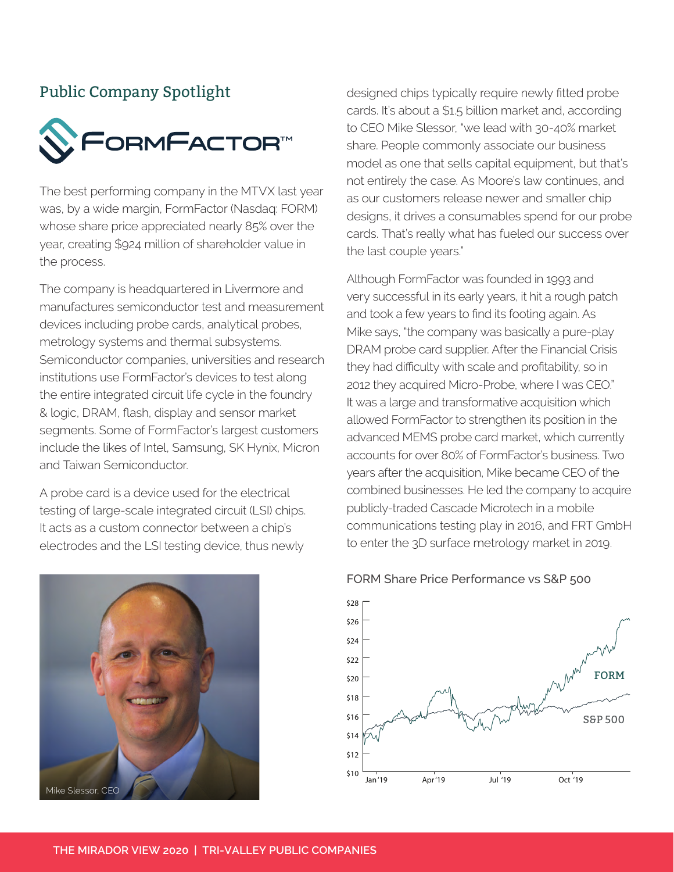# Public Company Spotlight



The best performing company in the MTVX last year was, by a wide margin, FormFactor (Nasdaq: FORM) whose share price appreciated nearly 85% over the year, creating \$924 million of shareholder value in the process.

The company is headquartered in Livermore and manufactures semiconductor test and measurement devices including probe cards, analytical probes, metrology systems and thermal subsystems. Semiconductor companies, universities and research institutions use FormFactor's devices to test along the entire integrated circuit life cycle in the foundry & logic, DRAM, flash, display and sensor market segments. Some of FormFactor's largest customers include the likes of Intel, Samsung, SK Hynix, Micron and Taiwan Semiconductor.

A probe card is a device used for the electrical testing of large-scale integrated circuit (LSI) chips. It acts as a custom connector between a chip's electrodes and the LSI testing device, thus newly

designed chips typically require newly fitted probe cards. It's about a \$1.5 billion market and, according to CEO Mike Slessor, "we lead with 30-40% market share. People commonly associate our business model as one that sells capital equipment, but that's not entirely the case. As Moore's law continues, and as our customers release newer and smaller chip designs, it drives a consumables spend for our probe cards. That's really what has fueled our success over the last couple years."

Although FormFactor was founded in 1993 and very successful in its early years, it hit a rough patch and took a few years to find its footing again. As Mike says, "the company was basically a pure-play DRAM probe card supplier. After the Financial Crisis they had difficulty with scale and profitability, so in 2012 they acquired Micro-Probe, where I was CEO." It was a large and transformative acquisition which allowed FormFactor to strengthen its position in the advanced MEMS probe card market, which currently accounts for over 80% of FormFactor's business. Two years after the acquisition, Mike became CEO of the combined businesses. He led the company to acquire publicly-traded Cascade Microtech in a mobile communications testing play in 2016, and FRT GmbH to enter the 3D surface metrology market in 2019.



#### FORM Share Price Performance vs S&P 500